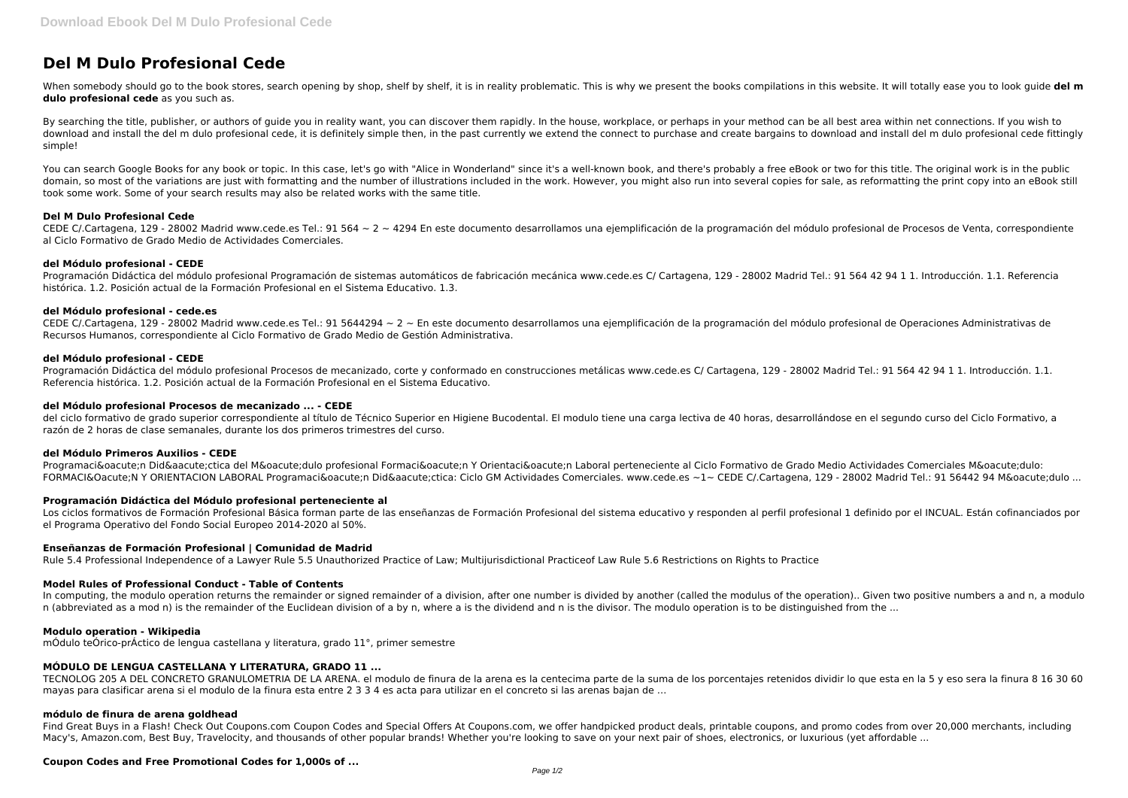# **Del M Dulo Profesional Cede**

When somebody should go to the book stores, search opening by shop, shelf by shelf, it is in reality problematic. This is why we present the books compilations in this website. It will totally ease you to look guide del m **dulo profesional cede** as you such as.

By searching the title, publisher, or authors of quide you in reality want, you can discover them rapidly. In the house, workplace, or perhaps in your method can be all best area within net connections. If you wish to download and install the del m dulo profesional cede, it is definitely simple then, in the past currently we extend the connect to purchase and create bargains to download and install del m dulo profesional cede fittingly simple!

You can search Google Books for any book or topic. In this case, let's go with "Alice in Wonderland" since it's a well-known book, and there's probably a free eBook or two for this title. The original work is in the public domain, so most of the variations are just with formatting and the number of illustrations included in the work. However, you might also run into several copies for sale, as reformatting the print copy into an eBook still took some work. Some of your search results may also be related works with the same title.

CEDE C/.Cartagena, 129 - 28002 Madrid www.cede.es Tel.: 91 5644294 ~ 2 ~ En este documento desarrollamos una ejemplificación de la programación del módulo profesional de Operaciones Administrativas de Recursos Humanos, correspondiente al Ciclo Formativo de Grado Medio de Gestión Administrativa.

#### **Del M Dulo Profesional Cede**

CEDE C/.Cartagena, 129 - 28002 Madrid www.cede.es Tel.: 91 564 ~ 2 ~ 4294 En este documento desarrollamos una ejemplificación de la programación del módulo profesional de Procesos de Venta, correspondiente al Ciclo Formativo de Grado Medio de Actividades Comerciales.

#### **del Módulo profesional - CEDE**

Programación Didáctica del módulo profesional Programación de sistemas automáticos de fabricación mecánica www.cede.es C/ Cartagena, 129 - 28002 Madrid Tel.: 91 564 42 94 1 1. Introducción. 1.1. Referencia histórica. 1.2. Posición actual de la Formación Profesional en el Sistema Educativo. 1.3.

# **del Módulo profesional - cede.es**

# **del Módulo profesional - CEDE**

Programación Didáctica del módulo profesional Procesos de mecanizado, corte y conformado en construcciones metálicas www.cede.es C/ Cartagena, 129 - 28002 Madrid Tel.: 91 564 42 94 1 1. Introducción. 1.1. Referencia histórica. 1.2. Posición actual de la Formación Profesional en el Sistema Educativo.

Find Great Buys in a Flash! Check Out Coupons.com Coupon Codes and Special Offers At Coupons.com, we offer handpicked product deals, printable coupons, and promo codes from over 20,000 merchants, including Macy's, Amazon.com, Best Buy, Travelocity, and thousands of other popular brands! Whether you're looking to save on your next pair of shoes, electronics, or luxurious (yet affordable ...

#### **del Módulo profesional Procesos de mecanizado ... - CEDE**

del ciclo formativo de grado superior correspondiente al título de Técnico Superior en Higiene Bucodental. El modulo tiene una carga lectiva de 40 horas, desarrollándose en el segundo curso del Ciclo Formativo, a razón de 2 horas de clase semanales, durante los dos primeros trimestres del curso.

#### **del Módulo Primeros Auxilios - CEDE**

Programación Didáctica del Módulo profesional Formación Y Orientación Laboral perteneciente al Ciclo Formativo de Grado Medio Actividades Comerciales Módulo: FORMACIÓN Y ORIENTACION LABORAL Programación Didáctica: Ciclo GM Actividades Comerciales. www.cede.es ~1~ CEDE C/.Cartagena, 129 - 28002 Madrid Tel.: 91 56442 94 Módulo ...

# **Programación Didáctica del Módulo profesional perteneciente al**

Los ciclos formativos de Formación Profesional Básica forman parte de las enseñanzas de Formación Profesional del sistema educativo y responden al perfil profesional 1 definido por el INCUAL. Están cofinanciados por el Programa Operativo del Fondo Social Europeo 2014-2020 al 50%.

#### **Enseñanzas de Formación Profesional | Comunidad de Madrid**

Rule 5.4 Professional Independence of a Lawyer Rule 5.5 Unauthorized Practice of Law; Multijurisdictional Practiceof Law Rule 5.6 Restrictions on Rights to Practice

#### **Model Rules of Professional Conduct - Table of Contents**

In computing, the modulo operation returns the remainder or signed remainder of a division, after one number is divided by another (called the modulus of the operation).. Given two positive numbers a and n, a modulo n (abbreviated as a mod n) is the remainder of the Euclidean division of a by n, where a is the dividend and n is the divisor. The modulo operation is to be distinguished from the ...

#### **Modulo operation - Wikipedia**

mÓdulo teÓrico-prÁctico de lengua castellana y literatura, grado 11°, primer semestre

# **MÓDULO DE LENGUA CASTELLANA Y LITERATURA, GRADO 11 ...**

TECNOLOG 205 A DEL CONCRETO GRANULOMETRIA DE LA ARENA. el modulo de finura de la arena es la centecima parte de la suma de los porcentajes retenidos dividir lo que esta en la 5 y eso sera la finura 8 16 30 60 mayas para clasificar arena si el modulo de la finura esta entre 2 3 3 4 es acta para utilizar en el concreto si las arenas bajan de …

#### **módulo de finura de arena goldhead**

# **Coupon Codes and Free Promotional Codes for 1,000s of ...**